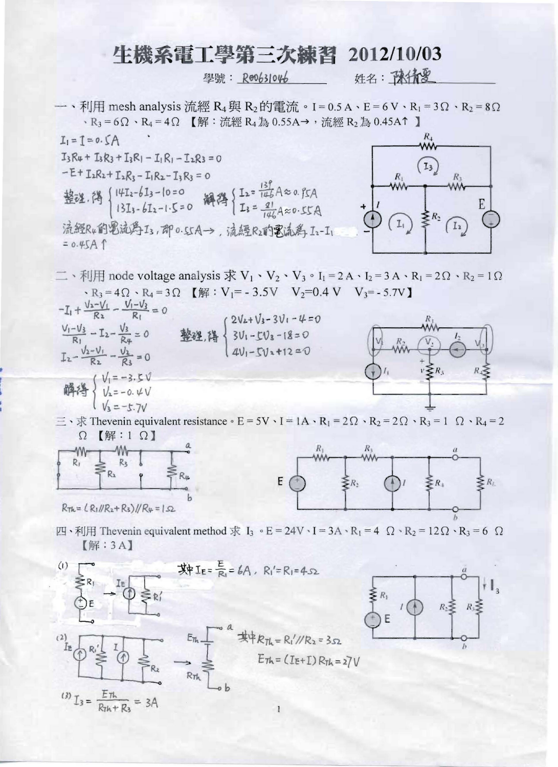## 牛機系電工學第三次練習 2012/10/03

學號: Re0631046

姓名: 豫绩夏

一、利用 mesh analysis 流經  $R_4$ 與  $R_2$ 的電流。I=0.5A、E=6V、R<sub>1</sub>=3 $\Omega$ 、R<sub>2</sub>=8 $\Omega$ 、R<sub>3</sub> = 6Ω、R<sub>4</sub> = 4Ω 【解:流經 R<sub>4</sub> 為 0.55A→,流經 R<sub>2</sub> 為 0.45A↑ 】

 $\overline{R}_+$  $I_1 = I = 0.5A$  $I_3R_4 + I_3R_3 + I_3R_1 - I_1R_1 - I_2R_3 = 0$  $I<sub>3</sub>$  $-E+I_1R_2+I_2R_3-I_1R_2-I_3R_3=0$ 整理. 得  ${14T_2-6I_3-10=0}$  解码  ${I_2 = \frac{139}{146}A\approx 0.85A}$ <br>13 $I_3 - bI_2 - 1.5 = 0$  解码  $I_3 = \frac{91}{146}A\approx 0.55A$ 流經R4的電流為I3,即0.55A→,流經R2的電流為I2-I1  $= 0.45A f$ 

 $\equiv \cdot \pi$  mode voltage analysis  $\dot{\mathcal{R}} V_1 \cdot V_2 \cdot V_3 \cdot I_1 = 2A \cdot I_2 = 3A \cdot R_1 = 2\Omega \cdot R_2 = 1\Omega$  $R_3 = 4\Omega \cdot R_4 = 3\Omega$  [解 : V<sub>1</sub> = - 3.5V V<sub>2</sub> = 0.4 V V<sub>3</sub> = - 5.7V]  $-I_1 + \frac{V_2 - V_1}{R_2} - \frac{V_1 - V_3}{R_1} = 0$ 



 $\equiv \cdot \pi$  Theven in equivalent resistance  $\circ$  E = 5V  $\cdot$  I = 1A  $\cdot$  R<sub>1</sub> = 2 $\Omega$   $\cdot$  R<sub>2</sub> = 2 $\Omega$   $\cdot$  R<sub>3</sub> = 1  $\Omega$   $\cdot$  R<sub>4</sub> = 2  $\Omega$  【解:1  $\Omega$ 】



 $\text{I}$  → 利用 Theven in equivalent method 求 I<sub>3</sub> • E = 24V · I = 3A · R<sub>1</sub> = 4 Ω · R<sub>2</sub> = 12Ω · R<sub>3</sub> = 6 Ω  $[\mathbb{R} : 3A]$